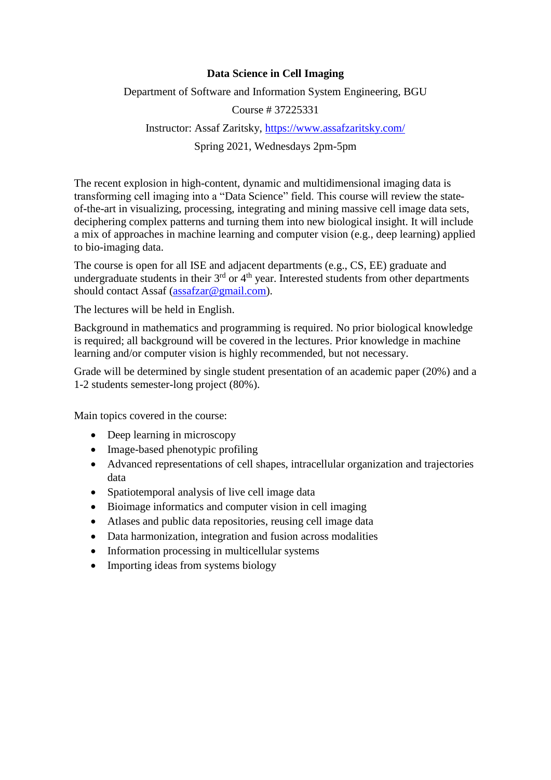## **Data Science in Cell Imaging**

Department of Software and Information System Engineering, BGU

Course # 37225331

## Instructor: Assaf Zaritsky,<https://www.assafzaritsky.com/>

Spring 2021, Wednesdays 2pm-5pm

The recent explosion in high-content, dynamic and multidimensional imaging data is transforming cell imaging into a "Data Science" field. This course will review the stateof-the-art in visualizing, processing, integrating and mining massive cell image data sets, deciphering complex patterns and turning them into new biological insight. It will include a mix of approaches in machine learning and computer vision (e.g., deep learning) applied to bio-imaging data.

The course is open for all ISE and adjacent departments (e.g., CS, EE) graduate and undergraduate students in their  $3^{rd}$  or  $4^{th}$  year. Interested students from other departments should contact Assaf [\(assafzar@gmail.com\)](mailto:assafzar@gmail.com).

The lectures will be held in English.

Background in mathematics and programming is required. No prior biological knowledge is required; all background will be covered in the lectures. Prior knowledge in machine learning and/or computer vision is highly recommended, but not necessary.

Grade will be determined by single student presentation of an academic paper (20%) and a 1-2 students semester-long project (80%).

Main topics covered in the course:

- Deep learning in microscopy
- Image-based phenotypic profiling
- Advanced representations of cell shapes, intracellular organization and trajectories data
- Spatiotemporal analysis of live cell image data
- Bioimage informatics and computer vision in cell imaging
- Atlases and public data repositories, reusing cell image data
- Data harmonization, integration and fusion across modalities
- Information processing in multicellular systems
- Importing ideas from systems biology